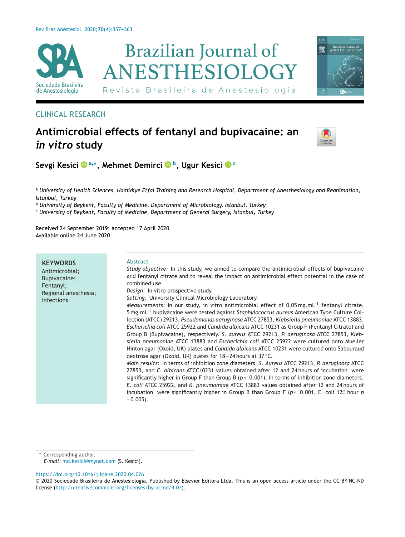

## CLINICAL RESEARCH

# **Antimicrobial effects of fentanyl and bupivacaine: an** *in vitro* **study**



**Sevgi Kesici <sup>a</sup>,∗, Mehmet Demirci b, Ugur Kesici <sup>c</sup>**

<sup>a</sup> University of Health Sciences, Hamidiye Etfal Training and Research Hospital, Department of Anesthesiology and Reanimation, *Istanbul, Turkey*

<sup>b</sup> *University of Beykent, Faculty of Medicine, Department of Microbiology, Istanbul, Turkey*

<sup>c</sup> *University of Beykent, Faculty of Medicine, Department of General Surgery, Istanbul, Turkey*

Received 24 September 2019; accepted 17 April 2020 Available online 24 June 2020

**KEYWORDS** Antimicrobial; Bupivacaine; Fentanyl; Regional anesthesia; Infections **Abstract** *Study objective:* In this study, we aimed to compare the antimicrobial effects of bupivacaine and fentanyl citrate and to reveal the impact on antimicrobial effect potential in the case of combined use. *Design:* In vitro prospective study. *Setting:* University Clinical Microbiology Laboratory. *Measurements:* In our study, in vitro antimicrobial effect of 0.05 mg.mL<sup>-1</sup> fentanyl citrate, 5 mg.mL-1 bupivacaine were tested against *Staphylococcus aureus* American Type Culture Collection (ATCC) 29213, *Pseudomonas aeruginosa* ATCC 27853, *Klebsiella pneumoniae* ATCC 13883, *Escherichia coli* ATCC 25922 and *Candida albicans* ATCC 10231 as Group F (Fentanyl Citrate) and Group B (Bupivacaine), respectively. *S. aureus* ATCC 29213, *P. aeruginosa* ATCC 27853, *Klebsiella pneumoniae* ATCC 13883 and *Escherichia coli* ATCC 25922 were cultured onto Mueller Hinton agar (Oxoid, UK) plates and *Candida albicans* ATCC 10231 were cultured onto Sabouraud dextrose agar (Oxoid, UK) plates for 18−24 hours at 37 ◦C. *Main results:* In terms of inhibition zone diameters, *S. Aureus* ATCC 29213, *P. aeruginosa* ATCC 27853, and *C. albicans* ATCC10231 values obtained after 12 and 24 hours of incubation were significantly higher in Group F than Group B ( $p < 0.001$ ). In terms of inhibition zone diameters, *E. coli* ATCC 25922, and *K. pneumomiae* ATCC 13883 values obtained after 12 and 24 hours of incubation were significantly higher in Group B than Group F ( $p < 0.001$ , E. coli 12<sup>*a*</sup> hour *p*  $= 0.005$ ).

Corresponding author.

*E-mail:* [md.kesici@mynet.com](mailto:md.kesici@mynet.com) (S. Kesici).

<https://doi.org/10.1016/j.bjane.2020.04.026>

<sup>©</sup> 2020 Sociedade Brasileira de Anestesiologia. Published by Elsevier Editora Ltda. This is an open access article under the CC BY-NC-ND license (<http://creativecommons.org/licenses/by-nc-nd/4.0/>).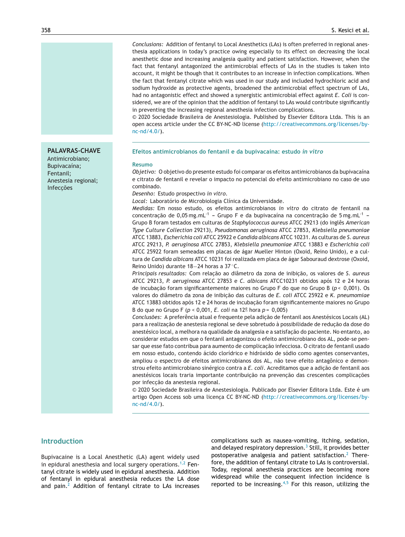*Conclusions:* Addition of fentanyl to Local Anesthetics (LAs) is often preferred in regional anesthesia applications in today's practice owing especially to its effect on decreasing the local anesthetic dose and increasing analgesia quality and patient satisfaction. However, when the fact that fentanyl antagonized the antimicrobial effects of LAs in the studies is taken into account, it might be though that it contributes to an increase in infection complications. When the fact that fentanyl citrate which was used in our study and included hydrochloric acid and sodium hydroxide as protective agents, broadened the antimicrobial effect spectrum of LAs, had no antagonistic effect and showed a synergistic antimicrobial effect against *E. Coli* is considered, we are of the opinion that the addition of fentanyl to LAs would contribute significantly in preventing the increasing regional anesthesia infection complications.

© 2020 Sociedade Brasileira de Anestesiologia. Published by Elsevier Editora Ltda. This is an open access article under the CC BY-NC-ND license ([http://creativecommons.org/licenses/by](http://creativecommons.org/licenses/by-nc-nd/4.0/)[nc-nd/4.0/\)](http://creativecommons.org/licenses/by-nc-nd/4.0/).

#### **PALAVRAS-CHAVE**

Antimicrobiano; Bupivacaína; Fentanil; Anestesia regional; **Infeccões** 

#### **Efeitos antimicrobianos do fentanil <sup>e</sup> da bupivacaína: estudo** *in vitro*

#### **Resumo**

*Objetivo:* O objetivo do presente estudo foi comparar os efeitos antimicrobianos da bupivacaína e citrato de fentanil e revelar o impacto no potencial do efeito antimicrobiano no caso de uso combinado.

*Desenho:* Estudo prospectivo *in vitro*.

*Local:* Laboratório de Microbiologia Clínica da Universidade.

*Medidas:* Em nosso estudo, os efeitos antimicrobianos *in vitro* do citrato de fentanil na concentração de  $0.05$  mg.mL<sup>-1</sup> - Grupo F e da bupivacaína na concentração de 5 mg.mL<sup>-1</sup> -Grupo B foram testados em culturas de *Staphylococcus aureus* ATCC 29213 (do inglês *American Type Culture Collection* 29213), *Pseudomonas aeruginosa* ATCC 27853, *Klebsiella pneumoniae* ATCC 13883, *Escherichia coli* ATCC 25922 e *Candida albicans* ATCC 10231. As culturas de *S. aureus* ATCC 29213, *P. aeruginosa* ATCC 27853, *Klebsiella pneumoniae* ATCC 13883 e *Escherichia coli* ATCC 25922 foram semeadas em placas de ágar Mueller Hinton (Oxoid, Reino Unido), e a cultura de *Candida albicans* ATCC 10231 foi realizada em placa de ágar Sabouraud dextrose (Oxoid, Reino Unido) durante 18−24 horas a 37 ◦C.

*Principais resultados:* Com relac¸ão ao diâmetro da zona de inibic¸ão, os valores de *S. aureus* ATCC 29213, *P. aeruginosa* ATCC 27853 e *C. albicans* ATCC10231 obtidos após 12 e 24 horas de incubação foram significantemente maiores no Grupo F do que no Grupo B ( $p < 0.001$ ). Os valores do diâmetro da zona de inibic¸ão das culturas de *E. coli* ATCC 25922 e *K. pneumomiae* ATCC 13883 obtidos após 12 e 24 horas de incubação foram significantemente maiores no Grupo B do que no Grupo F (*p* < 0,001, *E. coli* na 12<sup>a</sup> hora *p* = 0,005)

*Conclusões:* A preferência atual e frequente pela adic¸ão de fentanil aos Anestésicos Locais (AL) para a realização de anestesia regional se deve sobretudo à possibilidade de reducão da dose do anestésico local, a melhora na qualidade da analgesia e a satisfação do paciente. No entanto, ao considerar estudos em que o fentanil antagonizou o efeito antimicrobiano dos AL, pode-se pensar que esse fato contribua para aumento de complicação infecciosa. O citrato de fentanil usado em nosso estudo, contendo ácido clorídrico e hidróxido de sódio como agentes conservantes, ampliou o espectro de efeitos antimicrobianos dos AL, não teve efeito antagônico e demonstrou efeito antimicrobiano sinérgico contra a *E. coli.* Acreditamos que a adição de fentanil aos anestésicos locais traria importante contribuição na prevenção das crescentes complicações por infecção da anestesia regional.

 $© 2020 Sociedade Brasileira de Anestesiologia. Publicado por Elsevier Editora Ltda. Este é um$ artigo Open Access sob uma licença CC BY-NC-ND ([http://creativecommons.org/licenses/by](http://creativecommons.org/licenses/by-nc-nd/4.0/) $nc\text{-}nd/4.0/$ ).

## **Introduction**

Bupivacaine is a Local Anesthetic (LA) agent widely used in epidural anesthesia and local surgery operations.<sup>[1,2](#page-5-0)</sup> Fentanyl citrate is widely used in epidural anesthesia. Addition of fentanyl in epidural anesthesia reduces the LA dose and pain.<sup>[2](#page-5-0)</sup> Addition of fentanyl citrate to LAs increases complications such as nausea-vomiting, itching, sedation, and delayed respiratory depression.<sup>3</sup> [S](#page-5-0)till, it provides better postoperative analgesia and patient satisfaction.[2](#page-5-0) Therefore, the addition of fentanyl citrate to LAs is controversial. Today, regional anesthesia practices are becoming more widespread while the consequent infection incidence is reported to be increasing. $4,5$  For this reason, utilizing the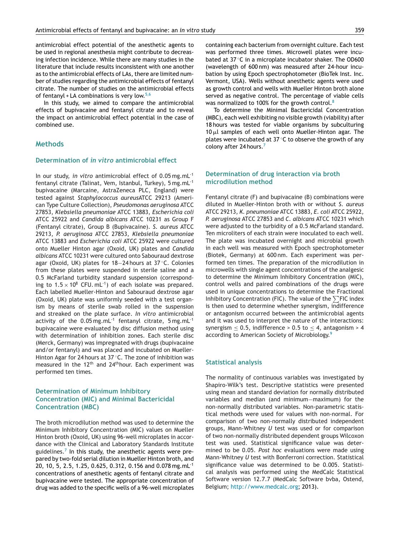antimicrobial effect potential of the anesthetic agents to be used in regional anesthesia might contribute to decreasing infection incidence. While there are many studies in the literature that include results inconsistent with one another as to the antimicrobial effects of LAs, there are limited number of studies regarding the antimicrobial effects of fentanyl citrate. The number of studies on the antimicrobial effects of fentanyl + LA combinations is very low.<sup>[5,6](#page-5-0)</sup>

In this study, we aimed to compare the antimicrobial effects of bupivacaine and fentanyl citrate and to reveal the impact on antimicrobial effect potential in the case of combined use.

## **Methods**

#### **Determination of** *in vitro* **antimicrobial effect**

In our study, *in vitro* antimicrobial effect of 0.05 mg.mL-1 fentanyl citrate (Talinat, Vem, Istanbul, Turkey), 5 mg.mL-1 bupivacaine (Marcaine, AstraZeneca PLC, England) were tested against *Staphylococcus aureus*ATCC 29213 (American Type Culture Collection), *Pseudomonas aeruginosa* ATCC 27853, *Klebsiella pneumoniae* ATCC 13883, *Escherichia coli* ATCC 25922 and *Candida albicans* ATCC 10231 as Group F (Fentanyl citrate), Group B (Bupivacaine). *S. aureus* ATCC 29213, *P. aeruginosa* ATCC 27853, *Klebsiella pneumoniae* ATCC 13883 and *Escherichia coli* ATCC 25922 were cultured onto Mueller Hinton agar (Oxoid, UK) plates and *Candida albicans* ATCC 10231 were cultured onto Sabouraud dextrose agar (Oxoid, UK) plates for 18−24 hours at 37 ◦C. Colonies from these plates were suspended in sterile saline and a 0.5 McFarland turbidity standard suspension (corresponding to  $1.5 \times 10^8$  CFU. mL<sup>-1</sup>) of each isolate was prepared. Each labelled Mueller-Hinton and Sabouraud dextrose agar (Oxoid, UK) plate was uniformly seeded with a test organism by means of sterile swab rolled in the suspension and streaked on the plate surface. *In vitro* antimicrobial activity of the  $0.05 \,\text{mg.mL}^{-1}$  fentanyl citrate,  $5 \,\text{mg.mL}^{-1}$ bupivacaine were evaluated by disc diffusion method using with determination of inhibition zones. Each sterile disc (Merck, Germany) was impregnated with drugs (bupivacaine and/or fentanyl) and was placed and incubated on Mueller-Hinton Agar for 24 hours at 37 ◦C. The zone of inhibition was measured in the  $12<sup>th</sup>$  and  $24<sup>th</sup>$  hour. Each experiment was performed ten times.

## **Determination of Minimum Inhibitory Concentration (MIC) and Minimal Bactericidal Concentration (MBC)**

The broth microdilution method was used to determine the Minimum Inhibitory Concentration (MIC) values on Mueller Hinton broth (Oxoid, UK) using 96-well microplates in accordance with the Clinical and Laboratory Standards Institute guidelines.<sup>[7](#page-5-0)</sup> In this study, the anesthetic agents were prepared by two-fold serial dilution in Mueller Hinton broth, and 20, 10, 5, 2.5, 1.25, 0.625, 0.312, 0.156 and 0.078 mg.mL-1 concentrations of anesthetic agents of fentanyl citrate and bupivacaine were tested. The appropriate concentration of drug was added to the specific wells of a 96-well microplates

containing each bacterium from overnight culture. Each test was performed three times. Microwell plates were incubated at 37 ◦C in a microplate incubator shaker. The OD600 (wavelength of 600 nm) was measured after 24-hour incubation by using Epoch spectrophotometer (BioTek Inst. Inc. Vermont, USA). Wells without anesthetic agents were used as growth control and wells with Mueller Hinton broth alone served as negative control. The percentage of viable cells was normalized to 100% for the growth control.<sup>[8](#page-6-0)</sup>

To determine the Minimal Bactericidal Concentration (MBC), each well exhibiting no visible growth (viability) after 18 hours was tested for viable organisms by subculturing 10  $\mu$ l samples of each well onto Mueller-Hinton agar. The plates were incubated at 37 ℃ to observe the growth of any colony after 24 hours.<sup>[7](#page-5-0)</sup>

## **Determination of drug interaction via broth microdilution method**

Fentanyl citrate (F) and bupivacaine (B) combinations were diluted in Mueller-Hinton broth with or without *S. aureus* ATCC 29213, *K. pneumoniae* ATCC 13883, *E. coli* ATCC 25922, *P. aeruginosa* ATCC 27853 and *C. albicans* ATCC 10231 which were adjusted to the turbidity of a 0.5 McFarland standard. Ten microliters of each strain were inoculated to each well. The plate was incubated overnight and microbial growth in each well was measured with Epoch spectrophotometer (Biotek, Germany) at 600 nm. Each experiment was performed ten times. The preparation of the microdilution in microwells with single agent concentrations of the analgesic to determine the Minimum Inhibitory Concentration (MIC), control wells and paired combinations of the drugs were used in unique concentrations to determine the Fractional Inhibitory Concentration (FIC). The value of the  $\sum$ FIC index is then used to determine whether synergism, indifference or antagonism occurred between the antimicrobial agents and it was used to interpret the nature of the interactions: synergism  $\leq$  0.5, indifference > 0.5 to  $\leq$  4, antagonism > 4 according to American Society of Microbiology.[9](#page-6-0)

#### **Statistical analysis**

The normality of continuous variables was investigated by Shapiro-Wilk's test. Descriptive statistics were presented using mean and standard deviation for normally distributed variables and median (and minimum−maximum) for the non-normally distributed variables. Non-parametric statistical methods were used for values with non-normal. For comparison of two non-normally distributed independent groups, Mann-Whitney *U* test was used or for comparison of two non-normally distributed dependent groups Wilcoxon test was used. Statistical significance value was determined to be 0.05. *Post hoc* evaluations were made using Mann-Whitney *U* test with Bonferroni correction. Statistical significance value was determined to be 0.005. Statistical analysis was performed using the MedCalc Statistical Software version 12.7.7 (MedCalc Software bvba, Ostend, Belgium; <http://www.medcalc.org>; 2013).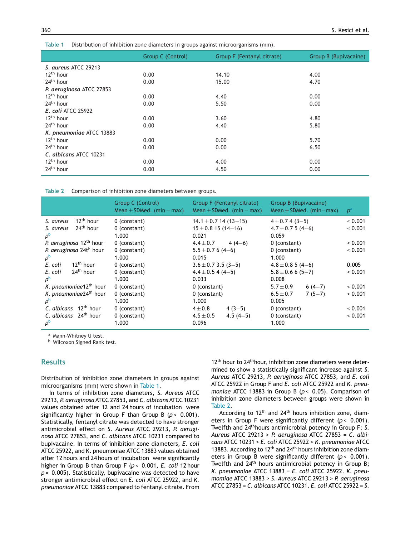#### **Table 1** Distribution of inhibition zone diameters in groups against microorganisms (mm).

|                          | Group C (Control) | Group F (Fentanyl citrate) | Group B (Bupivacaine) |
|--------------------------|-------------------|----------------------------|-----------------------|
| S. aureus ATCC 29213     |                   |                            |                       |
| $12^{th}$ hour           | 0.00              | 14.10                      | 4.00                  |
| 24 <sup>th</sup> hour    | 0.00              | 15.00                      | 4.70                  |
| P. aeruginosa ATCC 27853 |                   |                            |                       |
| $12th$ hour              | 0.00              | 4.40                       | 0.00                  |
| $24th$ hour              | 0.00              | 5.50                       | 0.00                  |
| E. coli ATCC 25922       |                   |                            |                       |
| 12 <sup>th</sup> hour    | 0.00              | 3.60                       | 4.80                  |
| 24 <sup>th</sup> hour    | 0.00              | 4.40                       | 5.80                  |
| K. pneumoniae ATCC 13883 |                   |                            |                       |
| 12 <sup>th</sup> hour    | 0.00              | 0.00                       | 5.70                  |
| 24 <sup>th</sup> hour    | 0.00              | 0.00                       | 6.50                  |
| C. albicans ATCC 10231   |                   |                            |                       |
| 12 <sup>th</sup> hour    | 0.00              | 4.00                       | 0.00                  |
| 24 <sup>th</sup> hour    | 0.00              | 4.50                       | 0.00                  |

**Table 2** Comparison of inhibition zone diameters between groups.

|                                                                                                                                                                                                                                                                                                                                            | Group C (Control)<br>Mean $\pm$ SDMed. (min – max)                                                                                                               | Group F (Fentanyl citrate)<br>Mean $\pm$ SDMed. (min – max)                                                                                                                                                                    | Group B (Bupivacaine)<br>Mean $\pm$ SDMed. (min-max)                                                                                                                                                                     | $p^a$                                                                            |
|--------------------------------------------------------------------------------------------------------------------------------------------------------------------------------------------------------------------------------------------------------------------------------------------------------------------------------------------|------------------------------------------------------------------------------------------------------------------------------------------------------------------|--------------------------------------------------------------------------------------------------------------------------------------------------------------------------------------------------------------------------------|--------------------------------------------------------------------------------------------------------------------------------------------------------------------------------------------------------------------------|----------------------------------------------------------------------------------|
| $12th$ hour<br>S. aureus<br>24 <sup>th</sup> hour<br>S. aureus<br>$D^{\rm b}$<br>P. aeruginosa 12 <sup>th</sup> hour<br>P. aeruginosa 24th hour<br>$p^{\rm b}$<br>12 <sup>th</sup> hour<br>E. coli<br>24 <sup>th</sup> hour<br>E. coli<br>$D^{\rm b}$<br>K. pneumoniae12 <sup>th</sup> hour<br>K. pneumoniae24 <sup>th</sup> hour<br>$D^D$ | 0 (constant)<br>0 (constant)<br>1.000<br>0 (constant)<br>0 (constant)<br>1.000<br>0 (constant)<br>0 (constant)<br>1.000<br>0 (constant)<br>0 (constant)<br>1.000 | $14.1 \pm 0.7$ 14 (13-15)<br>$15 \pm 0.8$ 15 (14-16)<br>0.021<br>$4.4\pm0.7$<br>$4(4-6)$<br>$5.5 \pm 0.7$ 6 (4-6)<br>0.015<br>$3.6 \pm 0.73.5(3-5)$<br>$4.4 \pm 0.5$ 4 (4-5)<br>0.033<br>0 (constant)<br>0 (constant)<br>1.000 | $4 \pm 0.74(3 - 5)$<br>$4.7 \pm 0.75(4-6)$<br>0.059<br>0 (constant)<br>0 (constant)<br>1.000<br>$4.8 \pm 0.85(4-6)$<br>$5.8 \pm 0.66(5 - 7)$<br>0.008<br>$5.7 \pm 0.9$<br>$6(4-7)$<br>$6.5 \pm 0.7$<br>$7(5-7)$<br>0.005 | < 0.001<br>0.001<br>< 0.001<br>< 0.001<br>0.005<br>< 0.001<br>< 0.001<br>< 0.001 |
| 12 <sup>th</sup> hour<br>C. albicans<br>C. albicans $24th$ hour<br>$p^{\rm b}$                                                                                                                                                                                                                                                             | 0 (constant)<br>0 (constant)<br>1.000                                                                                                                            | $4\pm0.8$<br>$4(3-5)$<br>$4.5 \pm 0.5$<br>$4.5(4-5)$<br>0.096                                                                                                                                                                  | 0 (constant)<br>0 (constant)<br>1.000                                                                                                                                                                                    | < 0.001<br>< 0.001                                                               |

a Mann-Whitney U test.

**b** Wilcoxon Signed Rank test.

## **Results**

Distribution of inhibition zone diameters in groups against microorganisms (mm) were shown in Table 1.

In terms of inhibition zone diameters, *S. Aureus* ATCC 29213, *P. aeruginosa* ATCC 27853, and *C. albicans* ATCC 10231 values obtained after 12 and 24 hours of incubation were significantly higher in Group F than Group B ( $p < 0.001$ ). Statistically, fentanyl citrate was detected to have stronger antimicrobial effect on *S. Aureus* ATCC 29213, *P. aeruginosa* ATCC 27853, and *C. albicans* ATCC 10231 compared to bupivacaine. In terms of inhibition zone diameters, *E. coli* ATCC 25922, and K. pneumoniae ATCC 13883 values obtained after 12 hours and 24 hours of incubation were significantly higher in Group B than Group F (*p* < 0.001, *E. coli* 12 hour *p* = 0.005). Statistically, bupivacaine was detected to have stronger antimicrobial effect on *E. coli* ATCC 25922, and *K. pneumoniae* ATCC 13883 compared to fentanyl citrate. From

 $12<sup>th</sup>$  hour to  $24<sup>th</sup>$  hour, inhibition zone diameters were determined to show a statistically significant increase against *S. Aureus* ATCC 29213, *P. aeruginosa* ATCC 27853, and *E. coli* ATCC 25922 in Group F and *E. coli* ATCC 25922 and *K. pneumoniae* ATCC 13883 in Group B ( $p$  < 0.05). Comparison of inhibition zone diameters between groups were shown in Table 2.

According to  $12<sup>th</sup>$  and  $24<sup>th</sup>$  hours inhibition zone, diameters in Group F were significantly different ( $p < 0.001$ ). Twelfth and 24thhours antimicrobial potency in Group F; *S. Aureus* ATCC 29213 > *P. aeruginosa* ATCC 27853 = *C. albicans* ATCC 10231 > *E. coli* ATCC 25922 > *K. pneumoniae* ATCC 13883. According to  $12<sup>th</sup>$  and  $24<sup>th</sup>$  hours inhibition zone diameters in Group B were significantly different ( $p < 0.001$ ). Twelfth and 24<sup>th</sup> hours antimicrobial potency in Group B; *K. pneumoniae* ATCC 13883 = *E. coli* ATCC 25922. *K. pneumomiae* ATCC 13883 > *S. Aureus* ATCC 29213 > *P. aeruginosa* ATCC 27853 = *C. albicans* ATCC 10231. *E. coli* ATCC 25922 = *S.*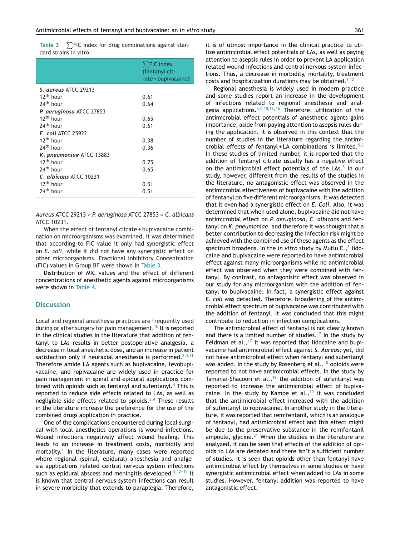**Table 3** - $\sum$ FIC index for drug combinations against standard strains in vitro.

|                           | $\sum$ FIC Index<br>(fentanyl cit-<br>rate + bupivacaine) |
|---------------------------|-----------------------------------------------------------|
| S. aureus ATCC 29213      |                                                           |
| 12 <sup>th</sup> hour     | 0.61                                                      |
| 24 <sup>th</sup> hour     | 0.64                                                      |
| P. aeruginosa ATCC 27853  |                                                           |
| 12 <sup>th</sup> hour     | 0.65                                                      |
| 24 <sup>th</sup> hour     | 0.61                                                      |
| <b>E.</b> coli ATCC 25922 |                                                           |
| 17 <sup>th</sup> hour     | 0.38                                                      |
| 24 <sup>th</sup> hour     | 0.36                                                      |
| K. pneumoniae ATCC 13883  |                                                           |
| 12 <sup>th</sup> hour     | 0.75                                                      |
| 24 <sup>th</sup> hour     | 0.65                                                      |
| C. albicans ATCC 10231    |                                                           |
| 12 <sup>th</sup> hour     | 0.51                                                      |
| 74 <sup>th</sup> hour     | 0.51                                                      |

*Aureus* ATCC 29213 > *P. aeruginosa* ATCC 27853 = *C. albicans* ATCC 10231.

When the effect of fentanyl citrate + bupivacaine combination on microorganisms was examined, it was determined that according to FIC value it only had synergistic effect on *E. coli*, while it did not have any synergistic effect on other microorganisms. Fractional Inhibitory Concentration (FIC) values in Group BF were shown in Table 3.

Distribution of MIC values and the effect of different concentrations of anesthetic agents against microorganisms were shown in [Table](#page-5-0) 4.

#### **Discussion**

Local and regional anesthesia practices are frequently used during or after surgery for pain management.<sup>[10](#page-6-0)</sup> It is reported in the clinical studies in the literature that addition of fentanyl to LAs results in better postoperative analgesia, a decrease in local anesthetic dose, and an increase in patient satisfaction only if neuraxial anesthesia is performed.<sup>[2,4,11](#page-5-0)</sup> Therefore amide LA agents such as bupivacaine, levobupivacaine, and ropivacaine are widely used in practice for pain management in spinal and epidural applications com-bined with opioids such as fentanyl and sufentanyl.<sup>[4](#page-5-0)</sup> This is reported to reduce side effects related to LAs, as well as negligible side effects related to opioids. $2,4$  These results in the literature increase the preference for the use of the combined drugs application in practice.

One of the complications encountered during local surgical with local anesthetics operations is wound infections. Wound infections negatively affect wound healing. This leads to an increase in treatment costs, morbidity and mortality.<sup>[1](#page-5-0)</sup> In the literature, many cases were reported where regional (spinal, epidural) anesthesia and analgesia applications related central nervous system infections such as epidural abscess and meningitis developed.<sup>5,12-15</sup> It is known that central nervous system infections can result in severe morbidity that extends to paraplegia. Therefore, it is of utmost importance in the clinical practice to utilize antimicrobial effect potentials of LAs, as well as paying attention to asepsis rules in order to prevent LA application related wound infections and central nervous system infections. Thus, a decrease in morbidity, mortality, treatment costs and hospitalization durations may be obtained.<sup>[1,12](#page-5-0)</sup>

Regional anesthesia is widely used in modern practice and some studies report an increase in the development of infections related to regional anesthesia and analgesia applications.  $4,5,10,13,16$  $4,5,10,13,16$  Therefore, utilization of the antimicrobial effect potentials of anesthetic agents gains importance, aside from paying attention to asepsis rules during the application. It is observed in this context that the number of studies in the literature regarding the antimi-crobial effects of fentanyl + LA combinations is limited.<sup>[5,6](#page-5-0)</sup> In these studies of limited number, it is reported that the addition of fentanyl citrate usually has a negative effect on the antimicrobial effect potentials of the LAs.<sup>[5](#page-5-0)</sup> In our study, however, different from the results of the studies in the literature, no antagonistic effect was observed in the antimicrobial effectiveness of bupivacaine with the addition of fentanyl on five different microorganisms. It was detected that it even had a synergistic effect on *E. Coli*. Also, it was determined that when used alone, bupivacaine did not have antimicrobial effect on *P. aeruginosa, C. albicans* and fentanyl on *K. pneumoniae*, and therefore it was thought that a better contribution to decreasing the infection risk might be achieved with the combined use of these agents as the effect spectrum broadens. In the *in vitro* study by Mutlu E.,<sup>5</sup> [li](#page-5-0)docaine and bupivacaine were reported to have antimicrobial effect against many microorganisms while no antimicrobial effect was observed when they were combined with fentanyl. By contrast, no antagonistic effect was observed in our study for any microorganism with the addition of fentanyl to bupivacaine. In fact, a synergistic effect against *E. coli* was detected. Therefore, broadening of the antimicrobial effect spectrum of bupivacaine was contributed with the addition of fentanyl. It was concluded that this might contribute to reduction in infection complications.

The antimicrobial effect of fentanyl is not clearly known and there is a limited number of studies.<sup>[17](#page-6-0)</sup> In the study by Feldman et al., $17$  it was reported that lidocaine and bupivacaine had antimicrobial effect against *S. Aureus*; yet, did not have antimicrobial effect when fentanyl and sufentanyl was added. In the study by Rosenberg et al.,  $18$  opioids were reported to not have antimicrobial effects. In the study by Tamanai-Shacoori et al.,<sup>[19](#page-6-0)</sup> the addition of sufentanyl was reported to increase the antimicrobial effect of bupivacaine. In the study by Kampe et al., $^{20}$  $^{20}$  $^{20}$  it was concluded that the antimicrobial effect increased with the addition of sufentanyl to ropivacaine. In another study in the literature, it was reported that remifentanil, which is an analogue of fentanyl, had antimicrobial effect and this effect might be due to the preservative substance in the remifentanil ampoule, glycine. $21$  When the studies in the literature are analyzed, it can be seen that effects of the addition of opioids to LAs are debated and there isn't a sufficient number of studies. It is seen that opioids other than fentanyl have antimicrobial effect by themselves in some studies or have synergistic antimicrobial effect when added to LAs in some studies. However, fentanyl addition was reported to have antagonistic effect.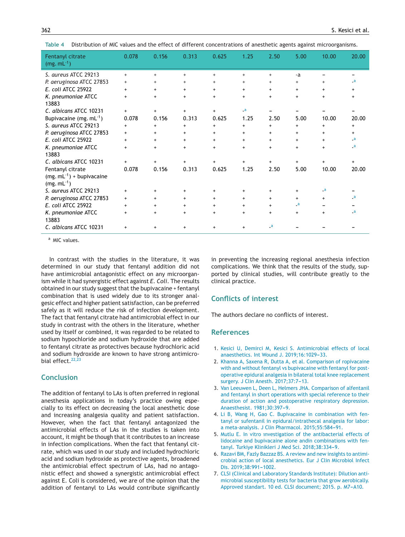| Fentanyl citrate<br>$(mg. mL^{-1})$               | 0.078     | 0.156     | 0.313     | 0.625     | 1.25      | 2.50                     | 5.00      | 10.00      | 20.00                      |
|---------------------------------------------------|-----------|-----------|-----------|-----------|-----------|--------------------------|-----------|------------|----------------------------|
| S. aureus ATCC 29213                              | $+$       | $+$       | $\ddot{}$ | $^{+}$    | $\ddot{}$ | $\ddot{}$                | -a        |            |                            |
| P. aeruginosa ATCC 27853                          | $\ddot{}$ | $\ddot{}$ | $\ddot{}$ | $^{+}$    | $\ddot{}$ | $\ddot{}$                | $+$       | $\ddot{}$  | _a                         |
| E. coli ATCC 25922                                | $+$       | $\ddot{}$ | +         | $\ddot{}$ | $\ddot{}$ | $\ddot{}$                | $\ddot{}$ | $\ddot{}$  | $+$                        |
| K. pneumoniae ATCC<br>13883                       | $+$       | $+$       | $\ddot{}$ | $+$       | $\ddot{}$ | $\ddot{}$                | $+$       | $\ddot{}$  | $\ddot{}$                  |
| C. albicans ATCC 10231                            | $+$       | $+$       | $+$       | $+$       | $-a$      |                          |           |            |                            |
| Bupivacaine (mg. $mL^{-1}$ )                      | 0.078     | 0.156     | 0.313     | 0.625     | 1.25      | 2.50                     | 5.00      | 10.00      | 20.00                      |
| S. aureus ATCC 29213                              | $\ddot{}$ | $\ddot{}$ | $\ddot{}$ | $+$       | $\ddot{}$ | $\ddot{}$                | $\ddot{}$ | $\ddot{}$  | $\ddot{}$                  |
| P. aeruginosa ATCC 27853                          | $+$       | $+$       | $\ddot{}$ | $+$       | $+$       | $+$                      | $\ddot{}$ | $\ddot{}$  | $+$                        |
| E. coli ATCC 25922                                | $\ddot{}$ | $+$       | $\ddot{}$ | $+$       | $\ddot{}$ | $\ddot{}$                | $+$       | $\ddot{}$  | $\overline{\phantom{a}}$   |
| K. pneumoniae ATCC<br>13883                       | $\ddot{}$ | $+$       | $\ddot{}$ | $\ddot{}$ | $\ddot{}$ | $\ddot{}$                | $+$       | $\ddot{}$  | $\overline{\phantom{a}}$ . |
| C. albicans ATCC 10231                            | $+$       | $^{+}$    |           | $\ddot{}$ | $+$       | $\ddot{}$                | $\ddot{}$ | $+$        | $\ddot{}$                  |
| Fentanyl citrate                                  | 0.078     | 0.156     | 0.313     | 0.625     | 1.25      | 2.50                     | 5.00      | 10.00      | 20.00                      |
| $(mg. mL^{-1}) + b$ upivacaine<br>$(mg. mL^{-1})$ |           |           |           |           |           |                          |           |            |                            |
| S. aureus ATCC 29213                              | $\ddot{}$ | $+$       | $\ddot{}$ | $\ddot{}$ | $\ddot{}$ | $\ddot{}$                | $+$       | $\sqrt{a}$ |                            |
| P. aeruginosa ATCC 27853                          | $+$       | $+$       | +         | $\ddot{}$ | $\ddot{}$ | $+$                      | $\ddot{}$ | $\ddot{}$  | _a                         |
| E. coli ATCC 25922                                | $\ddot{}$ | $\ddot{}$ | $\ddot{}$ | $\ddot{}$ | $\ddot{}$ | $\ddot{}$                | $-a$      |            |                            |
| K. pneumoniae ATCC<br>13883                       | $\ddot{}$ | $+$       | $\ddot{}$ | $\ddot{}$ | $\ddot{}$ | $\ddot{}$                | $+$       | $\ddot{}$  | $\overline{\phantom{a}}$ . |
| C. albicans ATCC 10231                            | $\ddot{}$ |           | $\ddot{}$ | +         | +         | $\overline{\phantom{a}}$ |           |            |                            |

<span id="page-5-0"></span>**Table 4** Distribution of MIC values and the effect of different concentrations of anesthetic agents against microorganisms.

a MIC values.

In contrast with the studies in the literature, it was determined in our study that fentanyl addition did not have antimicrobial antagonistic effect on any microorganism while it had synergistic effect against *E. Coli*. The results obtained in our study suggest that the bupivacaine + fentanyl combination that is used widely due to its stronger analgesic effect and higher patient satisfaction, can be preferred safely as it will reduce the risk of infection development. The fact that fentanyl citrate had antimicrobial effect in our study in contrast with the others in the literature, whether used by itself or combined, it was regarded to be related to sodium hypochloride and sodium hydroxide that are added to fentanyl citrate as protectives because hydrochloric acid and sodium hydroxide are known to have strong antimicro-bial effect.<sup>[22,23](#page-6-0)</sup>

## **Conclusion**

The addition of fentanyl to LAs is often preferred in regional anesthesia applications in today's practice owing especially to its effect on decreasing the local anesthetic dose and increasing analgesia quality and patient satisfaction. However, when the fact that fentanyl antagonized the antimicrobial effects of LAs in the studies is taken into account, it might be though that it contributes to an increase in infection complications. When the fact that fentanyl citrate, which was used in our study and included hydrochloric acid and sodium hydroxide as protective agents, broadened the antimicrobial effect spectrum of LAs, had no antagonistic effect and showed a synergistic antimicrobial effect against E. Coli is considered, we are of the opinion that the addition of fentanyl to LAs would contribute significantly

in preventing the increasing regional anesthesia infection complications. We think that the results of the study, supported by clinical studies, will contribute greatly to the clinical practice.

## **Conflicts of interest**

The authors declare no conflicts of interest.

## **References**

- 1. [Kesici](http://refhub.elsevier.com/S0104-0014(20)30101-9/sbref0005) [U,](http://refhub.elsevier.com/S0104-0014(20)30101-9/sbref0005) [Demirci](http://refhub.elsevier.com/S0104-0014(20)30101-9/sbref0005) [M,](http://refhub.elsevier.com/S0104-0014(20)30101-9/sbref0005) [Kesici](http://refhub.elsevier.com/S0104-0014(20)30101-9/sbref0005) [S.](http://refhub.elsevier.com/S0104-0014(20)30101-9/sbref0005) [Antimicrobial](http://refhub.elsevier.com/S0104-0014(20)30101-9/sbref0005) [effects](http://refhub.elsevier.com/S0104-0014(20)30101-9/sbref0005) [of](http://refhub.elsevier.com/S0104-0014(20)30101-9/sbref0005) [local](http://refhub.elsevier.com/S0104-0014(20)30101-9/sbref0005) [anaesthetics.](http://refhub.elsevier.com/S0104-0014(20)30101-9/sbref0005) [Int](http://refhub.elsevier.com/S0104-0014(20)30101-9/sbref0005) [Wound](http://refhub.elsevier.com/S0104-0014(20)30101-9/sbref0005) [J.](http://refhub.elsevier.com/S0104-0014(20)30101-9/sbref0005) 2019;16:1029-33.
- 2. [Khanna](http://refhub.elsevier.com/S0104-0014(20)30101-9/sbref0010) [A,](http://refhub.elsevier.com/S0104-0014(20)30101-9/sbref0010) [Saxena](http://refhub.elsevier.com/S0104-0014(20)30101-9/sbref0010) [R,](http://refhub.elsevier.com/S0104-0014(20)30101-9/sbref0010) [Dutta](http://refhub.elsevier.com/S0104-0014(20)30101-9/sbref0010) [A,](http://refhub.elsevier.com/S0104-0014(20)30101-9/sbref0010) [et](http://refhub.elsevier.com/S0104-0014(20)30101-9/sbref0010) [al.](http://refhub.elsevier.com/S0104-0014(20)30101-9/sbref0010) [Comparison](http://refhub.elsevier.com/S0104-0014(20)30101-9/sbref0010) [of](http://refhub.elsevier.com/S0104-0014(20)30101-9/sbref0010) [ropivacaine](http://refhub.elsevier.com/S0104-0014(20)30101-9/sbref0010) [with](http://refhub.elsevier.com/S0104-0014(20)30101-9/sbref0010) [and](http://refhub.elsevier.com/S0104-0014(20)30101-9/sbref0010) [without](http://refhub.elsevier.com/S0104-0014(20)30101-9/sbref0010) [fentanyl](http://refhub.elsevier.com/S0104-0014(20)30101-9/sbref0010) [vs](http://refhub.elsevier.com/S0104-0014(20)30101-9/sbref0010) [bupivacaine](http://refhub.elsevier.com/S0104-0014(20)30101-9/sbref0010) [with](http://refhub.elsevier.com/S0104-0014(20)30101-9/sbref0010) [fentanyl](http://refhub.elsevier.com/S0104-0014(20)30101-9/sbref0010) [for](http://refhub.elsevier.com/S0104-0014(20)30101-9/sbref0010) [post](http://refhub.elsevier.com/S0104-0014(20)30101-9/sbref0010)[operative](http://refhub.elsevier.com/S0104-0014(20)30101-9/sbref0010) [epidural](http://refhub.elsevier.com/S0104-0014(20)30101-9/sbref0010) [analgesia](http://refhub.elsevier.com/S0104-0014(20)30101-9/sbref0010) [in](http://refhub.elsevier.com/S0104-0014(20)30101-9/sbref0010) [bilateral](http://refhub.elsevier.com/S0104-0014(20)30101-9/sbref0010) [total](http://refhub.elsevier.com/S0104-0014(20)30101-9/sbref0010) [knee](http://refhub.elsevier.com/S0104-0014(20)30101-9/sbref0010) [replacement](http://refhub.elsevier.com/S0104-0014(20)30101-9/sbref0010) [surgery.](http://refhub.elsevier.com/S0104-0014(20)30101-9/sbref0010) [J](http://refhub.elsevier.com/S0104-0014(20)30101-9/sbref0010) [Clin](http://refhub.elsevier.com/S0104-0014(20)30101-9/sbref0010) [Anesth.](http://refhub.elsevier.com/S0104-0014(20)30101-9/sbref0010) [2017;37:7](http://refhub.elsevier.com/S0104-0014(20)30101-9/sbref0010)-[13.](http://refhub.elsevier.com/S0104-0014(20)30101-9/sbref0010)
- 3. [Van](http://refhub.elsevier.com/S0104-0014(20)30101-9/sbref0015) [Leeuwen](http://refhub.elsevier.com/S0104-0014(20)30101-9/sbref0015) [L,](http://refhub.elsevier.com/S0104-0014(20)30101-9/sbref0015) [Deen](http://refhub.elsevier.com/S0104-0014(20)30101-9/sbref0015) [L,](http://refhub.elsevier.com/S0104-0014(20)30101-9/sbref0015) [Helmers](http://refhub.elsevier.com/S0104-0014(20)30101-9/sbref0015) [JHA.](http://refhub.elsevier.com/S0104-0014(20)30101-9/sbref0015) [Comparison](http://refhub.elsevier.com/S0104-0014(20)30101-9/sbref0015) [of](http://refhub.elsevier.com/S0104-0014(20)30101-9/sbref0015) [alfentanil](http://refhub.elsevier.com/S0104-0014(20)30101-9/sbref0015) [and](http://refhub.elsevier.com/S0104-0014(20)30101-9/sbref0015) [fentanyl](http://refhub.elsevier.com/S0104-0014(20)30101-9/sbref0015) [in](http://refhub.elsevier.com/S0104-0014(20)30101-9/sbref0015) [short](http://refhub.elsevier.com/S0104-0014(20)30101-9/sbref0015) [operations](http://refhub.elsevier.com/S0104-0014(20)30101-9/sbref0015) [with](http://refhub.elsevier.com/S0104-0014(20)30101-9/sbref0015) [special](http://refhub.elsevier.com/S0104-0014(20)30101-9/sbref0015) [reference](http://refhub.elsevier.com/S0104-0014(20)30101-9/sbref0015) [to](http://refhub.elsevier.com/S0104-0014(20)30101-9/sbref0015) [their](http://refhub.elsevier.com/S0104-0014(20)30101-9/sbref0015) [duration](http://refhub.elsevier.com/S0104-0014(20)30101-9/sbref0015) [of](http://refhub.elsevier.com/S0104-0014(20)30101-9/sbref0015) [action](http://refhub.elsevier.com/S0104-0014(20)30101-9/sbref0015) [and](http://refhub.elsevier.com/S0104-0014(20)30101-9/sbref0015) [postoperative](http://refhub.elsevier.com/S0104-0014(20)30101-9/sbref0015) [respiratory](http://refhub.elsevier.com/S0104-0014(20)30101-9/sbref0015) [depression.](http://refhub.elsevier.com/S0104-0014(20)30101-9/sbref0015) [Anaesthesist.](http://refhub.elsevier.com/S0104-0014(20)30101-9/sbref0015) [1981;30:397](http://refhub.elsevier.com/S0104-0014(20)30101-9/sbref0015)-[9.](http://refhub.elsevier.com/S0104-0014(20)30101-9/sbref0015)
- 4. [Li](http://refhub.elsevier.com/S0104-0014(20)30101-9/sbref0020) [B,](http://refhub.elsevier.com/S0104-0014(20)30101-9/sbref0020) [Wang](http://refhub.elsevier.com/S0104-0014(20)30101-9/sbref0020) [H,](http://refhub.elsevier.com/S0104-0014(20)30101-9/sbref0020) [Gao](http://refhub.elsevier.com/S0104-0014(20)30101-9/sbref0020) [C.](http://refhub.elsevier.com/S0104-0014(20)30101-9/sbref0020) [Bupivacaine](http://refhub.elsevier.com/S0104-0014(20)30101-9/sbref0020) [in](http://refhub.elsevier.com/S0104-0014(20)30101-9/sbref0020) [combination](http://refhub.elsevier.com/S0104-0014(20)30101-9/sbref0020) [with](http://refhub.elsevier.com/S0104-0014(20)30101-9/sbref0020) [fen](http://refhub.elsevier.com/S0104-0014(20)30101-9/sbref0020)[tanyl](http://refhub.elsevier.com/S0104-0014(20)30101-9/sbref0020) [or](http://refhub.elsevier.com/S0104-0014(20)30101-9/sbref0020) [sufentanil](http://refhub.elsevier.com/S0104-0014(20)30101-9/sbref0020) [in](http://refhub.elsevier.com/S0104-0014(20)30101-9/sbref0020) [epidural/intrathecal](http://refhub.elsevier.com/S0104-0014(20)30101-9/sbref0020) [analgesia](http://refhub.elsevier.com/S0104-0014(20)30101-9/sbref0020) [for](http://refhub.elsevier.com/S0104-0014(20)30101-9/sbref0020) [labor:](http://refhub.elsevier.com/S0104-0014(20)30101-9/sbref0020) [a](http://refhub.elsevier.com/S0104-0014(20)30101-9/sbref0020) [meta-analysis.](http://refhub.elsevier.com/S0104-0014(20)30101-9/sbref0020) [J](http://refhub.elsevier.com/S0104-0014(20)30101-9/sbref0020) [Clin](http://refhub.elsevier.com/S0104-0014(20)30101-9/sbref0020) [Pharmacol.](http://refhub.elsevier.com/S0104-0014(20)30101-9/sbref0020) [2015;55:584](http://refhub.elsevier.com/S0104-0014(20)30101-9/sbref0020)[-91.](http://refhub.elsevier.com/S0104-0014(20)30101-9/sbref0020)
- 5. [Mutlu](http://refhub.elsevier.com/S0104-0014(20)30101-9/sbref0025) [E.](http://refhub.elsevier.com/S0104-0014(20)30101-9/sbref0025) [In](http://refhub.elsevier.com/S0104-0014(20)30101-9/sbref0025) [vitro](http://refhub.elsevier.com/S0104-0014(20)30101-9/sbref0025) [ınvestigation](http://refhub.elsevier.com/S0104-0014(20)30101-9/sbref0025) [of](http://refhub.elsevier.com/S0104-0014(20)30101-9/sbref0025) [the](http://refhub.elsevier.com/S0104-0014(20)30101-9/sbref0025) [antibacterial](http://refhub.elsevier.com/S0104-0014(20)30101-9/sbref0025) [effects](http://refhub.elsevier.com/S0104-0014(20)30101-9/sbref0025) [of](http://refhub.elsevier.com/S0104-0014(20)30101-9/sbref0025) [lidocaine](http://refhub.elsevier.com/S0104-0014(20)30101-9/sbref0025) [and](http://refhub.elsevier.com/S0104-0014(20)30101-9/sbref0025) [bupivacaine](http://refhub.elsevier.com/S0104-0014(20)30101-9/sbref0025) [alone](http://refhub.elsevier.com/S0104-0014(20)30101-9/sbref0025) [andin](http://refhub.elsevier.com/S0104-0014(20)30101-9/sbref0025) [combinations](http://refhub.elsevier.com/S0104-0014(20)30101-9/sbref0025) [with](http://refhub.elsevier.com/S0104-0014(20)30101-9/sbref0025) [fen](http://refhub.elsevier.com/S0104-0014(20)30101-9/sbref0025)[tanyl.](http://refhub.elsevier.com/S0104-0014(20)30101-9/sbref0025) [Turkiye](http://refhub.elsevier.com/S0104-0014(20)30101-9/sbref0025) [Klinikleri](http://refhub.elsevier.com/S0104-0014(20)30101-9/sbref0025) [J](http://refhub.elsevier.com/S0104-0014(20)30101-9/sbref0025) [Med](http://refhub.elsevier.com/S0104-0014(20)30101-9/sbref0025) [Sci.](http://refhub.elsevier.com/S0104-0014(20)30101-9/sbref0025) 2018;38:334-9.
- 6. [Razavi](http://refhub.elsevier.com/S0104-0014(20)30101-9/sbref0030) [BM,](http://refhub.elsevier.com/S0104-0014(20)30101-9/sbref0030) [Fazly](http://refhub.elsevier.com/S0104-0014(20)30101-9/sbref0030) [Bazzaz](http://refhub.elsevier.com/S0104-0014(20)30101-9/sbref0030) [BS.](http://refhub.elsevier.com/S0104-0014(20)30101-9/sbref0030) [A](http://refhub.elsevier.com/S0104-0014(20)30101-9/sbref0030) [review](http://refhub.elsevier.com/S0104-0014(20)30101-9/sbref0030) [and](http://refhub.elsevier.com/S0104-0014(20)30101-9/sbref0030) [new](http://refhub.elsevier.com/S0104-0014(20)30101-9/sbref0030) [insights](http://refhub.elsevier.com/S0104-0014(20)30101-9/sbref0030) [to](http://refhub.elsevier.com/S0104-0014(20)30101-9/sbref0030) [antimi](http://refhub.elsevier.com/S0104-0014(20)30101-9/sbref0030)[crobial](http://refhub.elsevier.com/S0104-0014(20)30101-9/sbref0030) [action](http://refhub.elsevier.com/S0104-0014(20)30101-9/sbref0030) [of](http://refhub.elsevier.com/S0104-0014(20)30101-9/sbref0030) [local](http://refhub.elsevier.com/S0104-0014(20)30101-9/sbref0030) [anesthetics.](http://refhub.elsevier.com/S0104-0014(20)30101-9/sbref0030) [Eur](http://refhub.elsevier.com/S0104-0014(20)30101-9/sbref0030) [J](http://refhub.elsevier.com/S0104-0014(20)30101-9/sbref0030) [Clin](http://refhub.elsevier.com/S0104-0014(20)30101-9/sbref0030) [Microbiol](http://refhub.elsevier.com/S0104-0014(20)30101-9/sbref0030) [Infect](http://refhub.elsevier.com/S0104-0014(20)30101-9/sbref0030) [Dis.](http://refhub.elsevier.com/S0104-0014(20)30101-9/sbref0030) 2019;38:991-1002.
- 7. [CLSI](http://refhub.elsevier.com/S0104-0014(20)30101-9/sbref0035) [\(Clinical](http://refhub.elsevier.com/S0104-0014(20)30101-9/sbref0035) [and](http://refhub.elsevier.com/S0104-0014(20)30101-9/sbref0035) [Laboratory](http://refhub.elsevier.com/S0104-0014(20)30101-9/sbref0035) [Standards](http://refhub.elsevier.com/S0104-0014(20)30101-9/sbref0035) [Institute\):](http://refhub.elsevier.com/S0104-0014(20)30101-9/sbref0035) [Dilution](http://refhub.elsevier.com/S0104-0014(20)30101-9/sbref0035) [anti](http://refhub.elsevier.com/S0104-0014(20)30101-9/sbref0035)[microbial](http://refhub.elsevier.com/S0104-0014(20)30101-9/sbref0035) [susceptibility](http://refhub.elsevier.com/S0104-0014(20)30101-9/sbref0035) [tests](http://refhub.elsevier.com/S0104-0014(20)30101-9/sbref0035) [for](http://refhub.elsevier.com/S0104-0014(20)30101-9/sbref0035) [bacteria](http://refhub.elsevier.com/S0104-0014(20)30101-9/sbref0035) [that](http://refhub.elsevier.com/S0104-0014(20)30101-9/sbref0035) [grow](http://refhub.elsevier.com/S0104-0014(20)30101-9/sbref0035) [aerobically.](http://refhub.elsevier.com/S0104-0014(20)30101-9/sbref0035) [Approved](http://refhub.elsevier.com/S0104-0014(20)30101-9/sbref0035) [standart.](http://refhub.elsevier.com/S0104-0014(20)30101-9/sbref0035) [10](http://refhub.elsevier.com/S0104-0014(20)30101-9/sbref0035) [ed.](http://refhub.elsevier.com/S0104-0014(20)30101-9/sbref0035) [CLSI](http://refhub.elsevier.com/S0104-0014(20)30101-9/sbref0035) [document;](http://refhub.elsevier.com/S0104-0014(20)30101-9/sbref0035) [2015.](http://refhub.elsevier.com/S0104-0014(20)30101-9/sbref0035) [p.](http://refhub.elsevier.com/S0104-0014(20)30101-9/sbref0035) M7-A10.